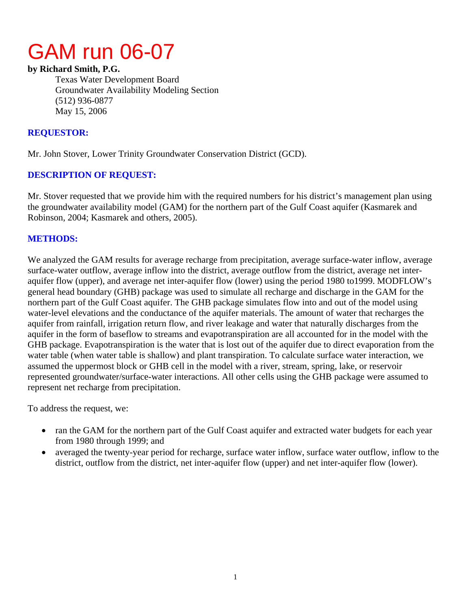# GAM run 06-07

### **by Richard Smith, P.G.**

Texas Water Development Board Groundwater Availability Modeling Section (512) 936-0877 May 15, 2006

## **REQUESTOR:**

Mr. John Stover, Lower Trinity Groundwater Conservation District (GCD).

# **DESCRIPTION OF REQUEST:**

Mr. Stover requested that we provide him with the required numbers for his district's management plan using the groundwater availability model (GAM) for the northern part of the Gulf Coast aquifer (Kasmarek and Robinson, 2004; Kasmarek and others, 2005).

## **METHODS:**

We analyzed the GAM results for average recharge from precipitation, average surface-water inflow, average surface-water outflow, average inflow into the district, average outflow from the district, average net interaquifer flow (upper), and average net inter-aquifer flow (lower) using the period 1980 to1999. MODFLOW's general head boundary (GHB) package was used to simulate all recharge and discharge in the GAM for the northern part of the Gulf Coast aquifer. The GHB package simulates flow into and out of the model using water-level elevations and the conductance of the aquifer materials. The amount of water that recharges the aquifer from rainfall, irrigation return flow, and river leakage and water that naturally discharges from the aquifer in the form of baseflow to streams and evapotranspiration are all accounted for in the model with the GHB package. Evapotranspiration is the water that is lost out of the aquifer due to direct evaporation from the water table (when water table is shallow) and plant transpiration. To calculate surface water interaction, we assumed the uppermost block or GHB cell in the model with a river, stream, spring, lake, or reservoir represented groundwater/surface-water interactions. All other cells using the GHB package were assumed to represent net recharge from precipitation.

To address the request, we:

- ran the GAM for the northern part of the Gulf Coast aquifer and extracted water budgets for each year from 1980 through 1999; and
- averaged the twenty-year period for recharge, surface water inflow, surface water outflow, inflow to the district, outflow from the district, net inter-aquifer flow (upper) and net inter-aquifer flow (lower).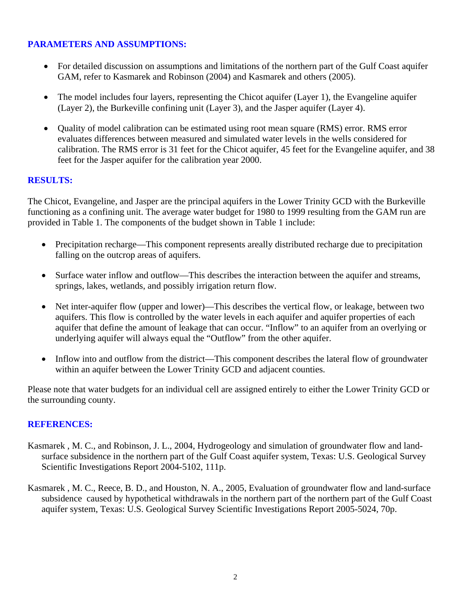# **PARAMETERS AND ASSUMPTIONS:**

- For detailed discussion on assumptions and limitations of the northern part of the Gulf Coast aquifer GAM, refer to Kasmarek and Robinson (2004) and Kasmarek and others (2005).
- The model includes four layers, representing the Chicot aquifer (Layer 1), the Evangeline aquifer (Layer 2), the Burkeville confining unit (Layer 3), and the Jasper aquifer (Layer 4).
- Quality of model calibration can be estimated using root mean square (RMS) error. RMS error evaluates differences between measured and simulated water levels in the wells considered for calibration. The RMS error is 31 feet for the Chicot aquifer, 45 feet for the Evangeline aquifer, and 38 feet for the Jasper aquifer for the calibration year 2000.

### **RESULTS:**

The Chicot, Evangeline, and Jasper are the principal aquifers in the Lower Trinity GCD with the Burkeville functioning as a confining unit. The average water budget for 1980 to 1999 resulting from the GAM run are provided in Table 1. The components of the budget shown in Table 1 include:

- Precipitation recharge—This component represents areally distributed recharge due to precipitation falling on the outcrop areas of aquifers.
- Surface water inflow and outflow—This describes the interaction between the aquifer and streams, springs, lakes, wetlands, and possibly irrigation return flow.
- Net inter-aquifer flow (upper and lower)—This describes the vertical flow, or leakage, between two aquifers. This flow is controlled by the water levels in each aquifer and aquifer properties of each aquifer that define the amount of leakage that can occur. "Inflow" to an aquifer from an overlying or underlying aquifer will always equal the "Outflow" from the other aquifer.
- Inflow into and outflow from the district—This component describes the lateral flow of groundwater within an aquifer between the Lower Trinity GCD and adjacent counties.

Please note that water budgets for an individual cell are assigned entirely to either the Lower Trinity GCD or the surrounding county.

#### **REFERENCES:**

- Kasmarek , M. C., and Robinson, J. L., 2004, Hydrogeology and simulation of groundwater flow and landsurface subsidence in the northern part of the Gulf Coast aquifer system, Texas: U.S. Geological Survey Scientific Investigations Report 2004-5102, 111p.
- Kasmarek , M. C., Reece, B. D., and Houston, N. A., 2005, Evaluation of groundwater flow and land-surface subsidence caused by hypothetical withdrawals in the northern part of the northern part of the Gulf Coast aquifer system, Texas: U.S. Geological Survey Scientific Investigations Report 2005-5024, 70p.